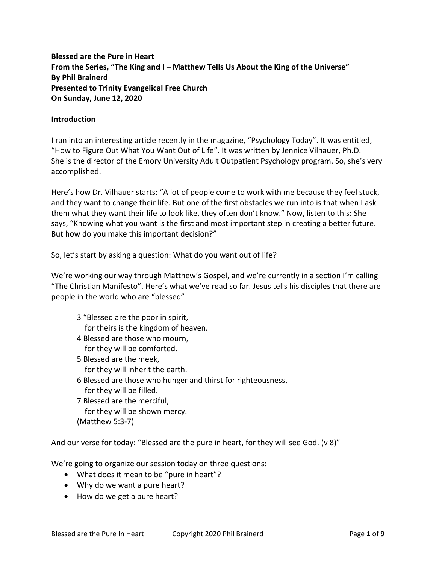**Blessed are the Pure in Heart From the Series, "The King and I – Matthew Tells Us About the King of the Universe" By Phil Brainerd Presented to Trinity Evangelical Free Church On Sunday, June 12, 2020**

#### **Introduction**

I ran into an interesting article recently in the magazine, "Psychology Today". It was entitled, "How to Figure Out What You Want Out of Life". It was written by Jennice Vilhauer, Ph.D. She is the director of the Emory University Adult Outpatient Psychology program. So, she's very accomplished.

Here's how Dr. Vilhauer starts: "A lot of people come to work with me because they feel stuck, and they want to change their life. But one of the first obstacles we run into is that when I ask them what they want their life to look like, they often don't know." Now, listen to this: She says, "Knowing what you want is the first and most important step in creating a better future. But how do you make this important decision?"

So, let's start by asking a question: What do you want out of life?

We're working our way through Matthew's Gospel, and we're currently in a section I'm calling "The Christian Manifesto". Here's what we've read so far. Jesus tells his disciples that there are people in the world who are "blessed"

- 3 "Blessed are the poor in spirit, for theirs is the kingdom of heaven.
- 4 Blessed are those who mourn, for they will be comforted.
- 5 Blessed are the meek, for they will inherit the earth.
- 6 Blessed are those who hunger and thirst for righteousness, for they will be filled.
- 7 Blessed are the merciful, for they will be shown mercy. (Matthew 5:3-7)

And our verse for today: "Blessed are the pure in heart, for they will see God. (v 8)"

We're going to organize our session today on three questions:

- What does it mean to be "pure in heart"?
- Why do we want a pure heart?
- How do we get a pure heart?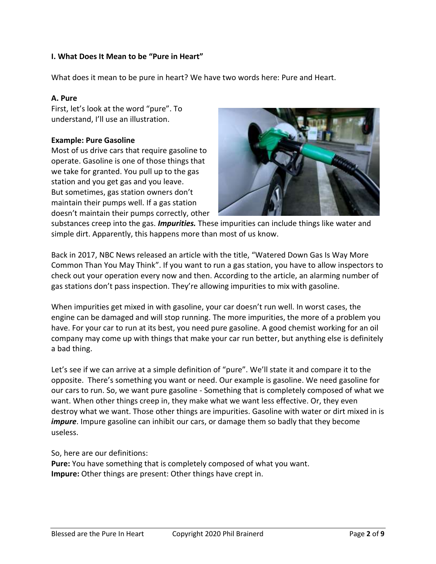# **I. What Does It Mean to be "Pure in Heart"**

What does it mean to be pure in heart? We have two words here: Pure and Heart.

#### **A. Pure**

First, let's look at the word "pure". To understand, I'll use an illustration.

# **Example: Pure Gasoline**

Most of us drive cars that require gasoline to operate. Gasoline is one of those things that we take for granted. You pull up to the gas station and you get gas and you leave. But sometimes, gas station owners don't maintain their pumps well. If a gas station doesn't maintain their pumps correctly, other



substances creep into the gas. *Impurities.* These impurities can include things like water and simple dirt. Apparently, this happens more than most of us know.

Back in 2017, NBC News released an article with the title, "Watered Down Gas Is Way More Common Than You May Think". If you want to run a gas station, you have to allow inspectors to check out your operation every now and then. According to the article, an alarming number of gas stations don't pass inspection. They're allowing impurities to mix with gasoline.

When impurities get mixed in with gasoline, your car doesn't run well. In worst cases, the engine can be damaged and will stop running. The more impurities, the more of a problem you have. For your car to run at its best, you need pure gasoline. A good chemist working for an oil company may come up with things that make your car run better, but anything else is definitely a bad thing.

Let's see if we can arrive at a simple definition of "pure". We'll state it and compare it to the opposite. There's something you want or need. Our example is gasoline. We need gasoline for our cars to run. So, we want pure gasoline - Something that is completely composed of what we want. When other things creep in, they make what we want less effective. Or, they even destroy what we want. Those other things are impurities. Gasoline with water or dirt mixed in is *impure*. Impure gasoline can inhibit our cars, or damage them so badly that they become useless.

So, here are our definitions:

**Pure:** You have something that is completely composed of what you want. **Impure:** Other things are present: Other things have crept in.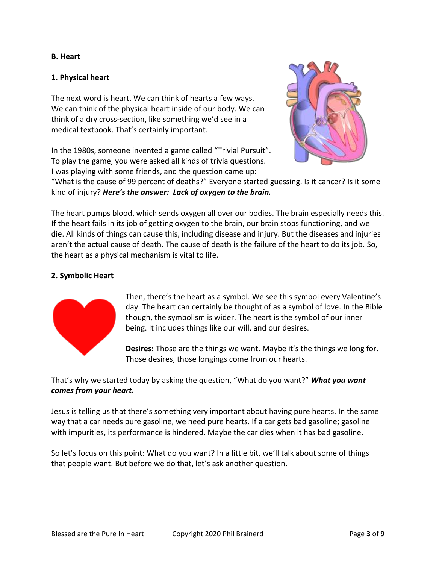#### **B. Heart**

# **1. Physical heart**

The next word is heart. We can think of hearts a few ways. We can think of the physical heart inside of our body. We can think of a dry cross-section, like something we'd see in a medical textbook. That's certainly important.

In the 1980s, someone invented a game called "Trivial Pursuit". To play the game, you were asked all kinds of trivia questions. I was playing with some friends, and the question came up:



"What is the cause of 99 percent of deaths?" Everyone started guessing. Is it cancer? Is it some kind of injury? *Here's the answer: Lack of oxygen to the brain.*

The heart pumps blood, which sends oxygen all over our bodies. The brain especially needs this. If the heart fails in its job of getting oxygen to the brain, our brain stops functioning, and we die. All kinds of things can cause this, including disease and injury. But the diseases and injuries aren't the actual cause of death. The cause of death is the failure of the heart to do its job. So, the heart as a physical mechanism is vital to life.

# **2. Symbolic Heart**



Then, there's the heart as a symbol. We see this symbol every Valentine's day. The heart can certainly be thought of as a symbol of love. In the Bible though, the symbolism is wider. The heart is the symbol of our inner being. It includes things like our will, and our desires.

**Desires:** Those are the things we want. Maybe it's the things we long for. Those desires, those longings come from our hearts.

That's why we started today by asking the question, "What do you want?" *What you want comes from your heart.*

Jesus is telling us that there's something very important about having pure hearts. In the same way that a car needs pure gasoline, we need pure hearts. If a car gets bad gasoline; gasoline with impurities, its performance is hindered. Maybe the car dies when it has bad gasoline.

So let's focus on this point: What do you want? In a little bit, we'll talk about some of things that people want. But before we do that, let's ask another question.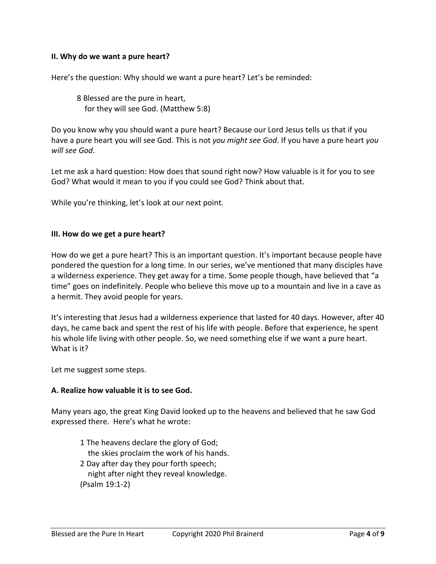#### **II. Why do we want a pure heart?**

Here's the question: Why should we want a pure heart? Let's be reminded:

8 Blessed are the pure in heart, for they will see God. (Matthew 5:8)

Do you know why you should want a pure heart? Because our Lord Jesus tells us that if you have a pure heart you will see God. This is not *you might see God*. If you have a pure heart *you will see God*.

Let me ask a hard question: How does that sound right now? How valuable is it for you to see God? What would it mean to you if you could see God? Think about that.

While you're thinking, let's look at our next point.

#### **III. How do we get a pure heart?**

How do we get a pure heart? This is an important question. It's important because people have pondered the question for a long time. In our series, we've mentioned that many disciples have a wilderness experience. They get away for a time. Some people though, have believed that "a time" goes on indefinitely. People who believe this move up to a mountain and live in a cave as a hermit. They avoid people for years.

It's interesting that Jesus had a wilderness experience that lasted for 40 days. However, after 40 days, he came back and spent the rest of his life with people. Before that experience, he spent his whole life living with other people. So, we need something else if we want a pure heart. What is it?

Let me suggest some steps.

#### **A. Realize how valuable it is to see God.**

Many years ago, the great King David looked up to the heavens and believed that he saw God expressed there. Here's what he wrote:

- 1 The heavens declare the glory of God;
	- the skies proclaim the work of his hands.
- 2 Day after day they pour forth speech; night after night they reveal knowledge. (Psalm 19:1-2)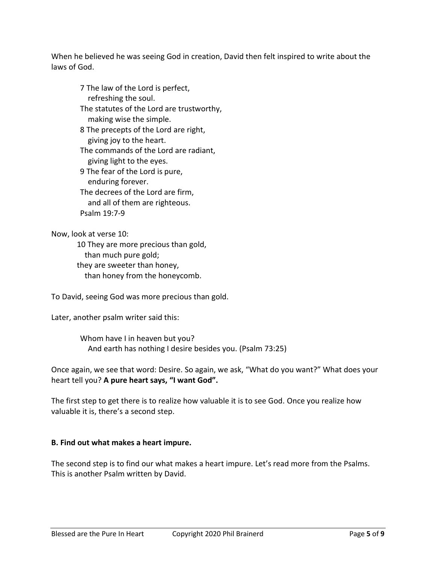When he believed he was seeing God in creation, David then felt inspired to write about the laws of God.

7 The law of the Lord is perfect, refreshing the soul. The statutes of the Lord are trustworthy, making wise the simple. 8 The precepts of the Lord are right, giving joy to the heart.

The commands of the Lord are radiant, giving light to the eyes.

9 The fear of the Lord is pure, enduring forever. The decrees of the Lord are firm,

 and all of them are righteous. Psalm 19:7-9

Now, look at verse 10:

10 They are more precious than gold, than much pure gold; they are sweeter than honey, than honey from the honeycomb.

To David, seeing God was more precious than gold.

Later, another psalm writer said this:

Whom have I in heaven but you? And earth has nothing I desire besides you. (Psalm 73:25)

Once again, we see that word: Desire. So again, we ask, "What do you want?" What does your heart tell you? **A pure heart says, "I want God".**

The first step to get there is to realize how valuable it is to see God. Once you realize how valuable it is, there's a second step.

# **B. Find out what makes a heart impure.**

The second step is to find our what makes a heart impure. Let's read more from the Psalms. This is another Psalm written by David.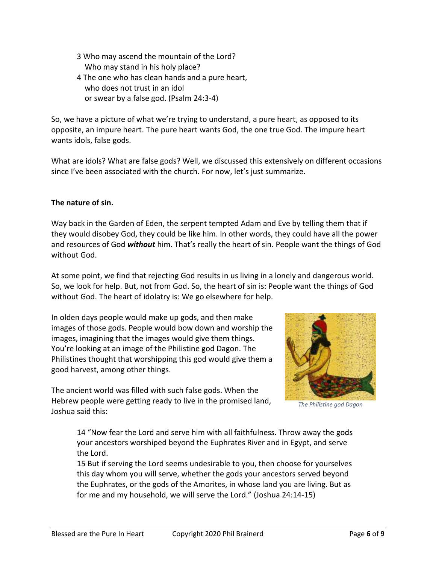- 3 Who may ascend the mountain of the Lord? Who may stand in his holy place?
- 4 The one who has clean hands and a pure heart, who does not trust in an idol or swear by a false god. (Psalm 24:3-4)

So, we have a picture of what we're trying to understand, a pure heart, as opposed to its opposite, an impure heart. The pure heart wants God, the one true God. The impure heart wants idols, false gods.

What are idols? What are false gods? Well, we discussed this extensively on different occasions since I've been associated with the church. For now, let's just summarize.

# **The nature of sin.**

Way back in the Garden of Eden, the serpent tempted Adam and Eve by telling them that if they would disobey God, they could be like him. In other words, they could have all the power and resources of God *without* him. That's really the heart of sin. People want the things of God without God.

At some point, we find that rejecting God results in us living in a lonely and dangerous world. So, we look for help. But, not from God. So, the heart of sin is: People want the things of God without God. The heart of idolatry is: We go elsewhere for help.

In olden days people would make up gods, and then make images of those gods. People would bow down and worship the images, imagining that the images would give them things. You're looking at an image of the Philistine god Dagon. The Philistines thought that worshipping this god would give them a good harvest, among other things.

The ancient world was filled with such false gods. When the Hebrew people were getting ready to live in the promised land, Joshua said this:



*The Philistine god Dagon*

14 "Now fear the Lord and serve him with all faithfulness. Throw away the gods your ancestors worshiped beyond the Euphrates River and in Egypt, and serve the Lord.

15 But if serving the Lord seems undesirable to you, then choose for yourselves this day whom you will serve, whether the gods your ancestors served beyond the Euphrates, or the gods of the Amorites, in whose land you are living. But as for me and my household, we will serve the Lord." (Joshua 24:14-15)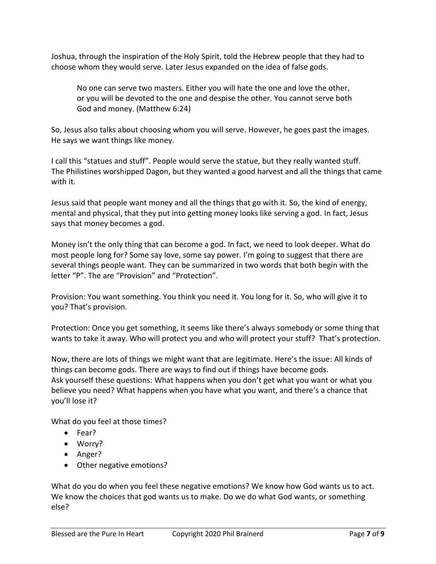Joshua, through the inspiration of the Holy Spirit, told the Hebrew people that they had to choose whom they would serve. Later Jesus expanded on the idea of false gods.

No one can serve two masters. Either you will hate the one and love the other, or you will be devoted to the one and despise the other. You cannot serve both God and money. (Matthew 6:24)

So, Jesus also talks about choosing whom you will serve. However, he goes past the images. He says we want things like money.

I call this "statues and stuff". People would serve the statue, but they really wanted stuff. The Philistines worshipped Dagon, but they wanted a good harvest and all the things that came with it.

Jesus said that people want money and all the things that go with it. So, the kind of energy, mental and physical, that they put into getting money looks like serving a god. In fact, Jesus says that money becomes a god.

Money isn't the only thing that can become a god. In fact, we need to look deeper. What do most people long for? Some say love, some say power. I'm going to suggest that there are several things people want. They can be summarized in two words that both begin with the letter "P". The are "Provision" and "Protection".

Provision: You want something. You think you need it. You long for it. So, who will give it to you? That's provision.

Protection: Once you get something, it seems like there's always somebody or some thing that wants to take it away. Who will protect you and who will protect your stuff? That's protection.

Now, there are lots of things we might want that are legitimate. Here's the issue: All kinds of things can become gods. There are ways to find out if things have become gods. Ask yourself these questions: What happens when you don't get what you want or what you believe you need? What happens when you have what you want, and there's a chance that you'll lose it?

What do you feel at those times?

- Fear?
- Worry?
- Anger?
- Other negative emotions?

What do you do when you feel these negative emotions? We know how God wants us to act. We know the choices that god wants us to make. Do we do what God wants, or something else?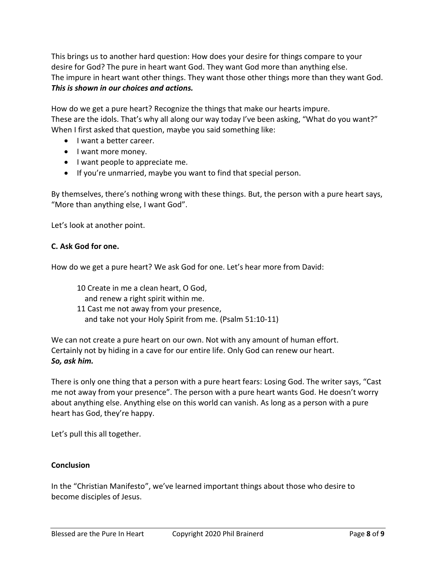This brings us to another hard question: How does your desire for things compare to your desire for God? The pure in heart want God. They want God more than anything else. The impure in heart want other things. They want those other things more than they want God. *This is shown in our choices and actions.*

How do we get a pure heart? Recognize the things that make our hearts impure. These are the idols. That's why all along our way today I've been asking, "What do you want?" When I first asked that question, maybe you said something like:

- I want a better career.
- I want more money.
- I want people to appreciate me.
- If you're unmarried, maybe you want to find that special person.

By themselves, there's nothing wrong with these things. But, the person with a pure heart says, "More than anything else, I want God".

Let's look at another point.

# **C. Ask God for one.**

How do we get a pure heart? We ask God for one. Let's hear more from David:

10 Create in me a clean heart, O God, and renew a right spirit within me. 11 Cast me not away from your presence, and take not your Holy Spirit from me. (Psalm 51:10-11)

We can not create a pure heart on our own. Not with any amount of human effort. Certainly not by hiding in a cave for our entire life. Only God can renew our heart. *So, ask him.*

There is only one thing that a person with a pure heart fears: Losing God. The writer says, "Cast me not away from your presence". The person with a pure heart wants God. He doesn't worry about anything else. Anything else on this world can vanish. As long as a person with a pure heart has God, they're happy.

Let's pull this all together.

#### **Conclusion**

In the "Christian Manifesto", we've learned important things about those who desire to become disciples of Jesus.